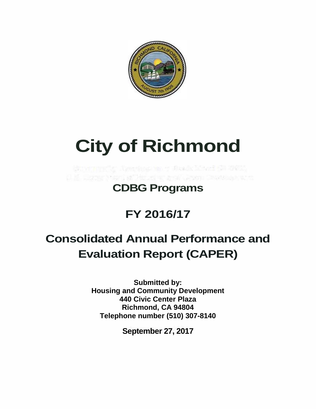

# **City of Richmond**

the text of films in the time of the state of the

### **CDBG Programs**

### **FY 2016/17**

## **Consolidated Annual Performance and Evaluation Report (CAPER)**

**Submitted by: Housing and Community Development 440 Civic Center Plaza Richmond, CA 94804 Telephone number (510) 307-8140**

**September 27, 2017**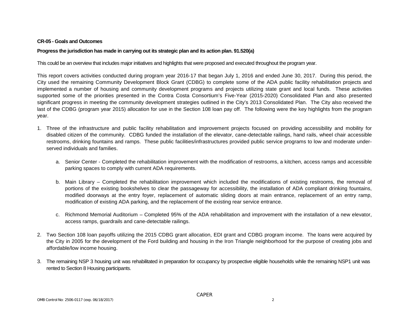#### **CR-05 - Goals and Outcomes**

#### **Progress the jurisdiction has made in carrying out its strategic plan and its action plan. 91.520(a)**

This could be an overview that includes major initiatives and highlights that were proposed and executed throughout the program year.

This report covers activities conducted during program year 2016-17 that began July 1, 2016 and ended June 30, 2017. During this period, the City used the remaining Community Development Block Grant (CDBG) to complete some of the ADA public facility rehabilitation projects and implemented a number of housing and community development programs and projects utilizing state grant and local funds. These activities supported some of the priorities presented in the Contra Costa Consortium's Five-Year (2015-2020) Consolidated Plan and also presented significant progress in meeting the community development strategies outlined in the City's 2013 Consolidated Plan. The City also received the last of the CDBG (program year 2015) allocation for use in the Section 108 loan pay off. The following were the key highlights from the program year.

- 1. Three of the infrastructure and public facility rehabilitation and improvement projects focused on providing accessibility and mobility for disabled citizen of the community. CDBG funded the installation of the elevator, cane-detectable railings, hand rails, wheel chair accessible restrooms, drinking fountains and ramps. These public facilities/infrastructures provided public service programs to low and moderate underserved individuals and families.
	- a. Senior Center Completed the rehabilitation improvement with the modification of restrooms, a kitchen, access ramps and accessible parking spaces to comply with current ADA requirements.
	- b. Main Library Completed the rehabilitation improvement which included the modifications of existing restrooms, the removal of portions of the existing bookshelves to clear the passageway for accessibility, the installation of ADA compliant drinking fountains, modified doorways at the entry foyer, replacement of automatic sliding doors at main entrance, replacement of an entry ramp, modification of existing ADA parking, and the replacement of the existing rear service entrance.
	- c. Richmond Memorial Auditorium Completed 95% of the ADA rehabilitation and improvement with the installation of a new elevator, access ramps, guardrails and cane-detectable railings.
- 2. Two Section 108 loan payoffs utilizing the 2015 CDBG grant allocation, EDI grant and CDBG program income. The loans were acquired by the City in 2005 for the development of the Ford building and housing in the Iron Triangle neighborhood for the purpose of creating jobs and affordable/low income housing.
- 3. The remaining NSP 3 housing unit was rehabilitated in preparation for occupancy by prospective eligible households while the remaining NSP1 unit was rented to Section 8 Housing participants.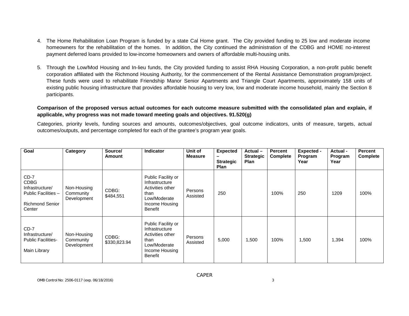- 4. The Home Rehabilitation Loan Program is funded by a state Cal Home grant. The City provided funding to 25 low and moderate income homeowners for the rehabilitation of the homes. In addition, the City continued the administration of the CDBG and HOME no-interest payment deferred loans provided to low-income homeowners and owners of affordable multi-housing units.
- 5. Through the Low/Mod Housing and In-lieu funds, the City provided funding to assist RHA Housing Corporation, a non-profit public benefit corporation affiliated with the Richmond Housing Authority, for the commencement of the Rental Assistance Demonstration program/project. These funds were used to rehabilitate Friendship Manor Senior Apartments and Triangle Court Apartments, approximately 158 units of existing public housing infrastructure that provides affordable housing to very low, low and moderate income household, mainly the Section 8 participants.

#### **Comparison of the proposed versus actual outcomes for each outcome measure submitted with the consolidated plan and explain, if applicable, why progress was not made toward meeting goals and objectives. 91.520(g)**

Categories, priority levels, funding sources and amounts, outcomes/objectives, goal outcome indicators, units of measure, targets, actual outcomes/outputs, and percentage completed for each of the grantee's program year goals.

| Goal                                                                                                | Category                                | Source/<br>Amount     | <b>Indicator</b>                                                                                              | Unit of<br><b>Measure</b> | <b>Expected</b><br>-<br><b>Strategic</b><br>Plan | Actual-<br><b>Strategic</b><br><b>Plan</b> | Percent<br><b>Complete</b> | <b>Expected -</b><br>Program<br>Year | Actual -<br>Program<br>Year | <b>Percent</b><br><b>Complete</b> |
|-----------------------------------------------------------------------------------------------------|-----------------------------------------|-----------------------|---------------------------------------------------------------------------------------------------------------|---------------------------|--------------------------------------------------|--------------------------------------------|----------------------------|--------------------------------------|-----------------------------|-----------------------------------|
| $CD-7$<br><b>CDBG</b><br>Infrastructure/<br>Public Facilities -<br><b>Richmond Senior</b><br>Center | Non-Housing<br>Community<br>Development | CDBG:<br>\$484,551    | Public Facility or<br>Infrastructure<br>Activities other<br>than<br>Low/Moderate<br>Income Housing<br>Benefit | Persons<br>Assisted       | 250                                              |                                            | 100%                       | 250                                  | 1209                        | 100%                              |
| $CD-7$<br>Infrastructure/<br><b>Public Facilities-</b><br>Main Library                              | Non-Housing<br>Community<br>Development | CDBG:<br>\$330,823.94 | Public Facility or<br>Infrastructure<br>Activities other<br>than<br>Low/Moderate<br>Income Housing<br>Benefit | Persons<br>Assisted       | 5,000                                            | 1,500                                      | 100%                       | 1,500                                | 1,394                       | 100%                              |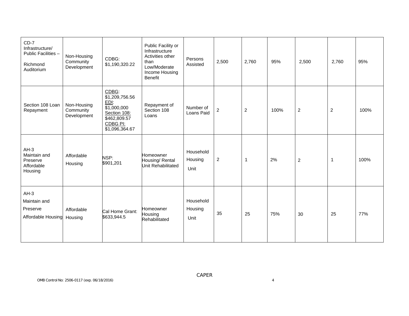| $CD-7$<br>Infrastructure/<br>Public Facilities -<br>Richmond<br>Auditorium | Non-Housing<br>Community<br>Development | CDBG:<br>\$1,190,320.22                                                                                      | Public Facility or<br>Infrastructure<br>Activities other<br>than<br>Low/Moderate<br>Income Housing<br><b>Benefit</b> | Persons<br>Assisted          | 2,500          | 2,760            | 95%  | 2,500            | 2,760          | 95%  |
|----------------------------------------------------------------------------|-----------------------------------------|--------------------------------------------------------------------------------------------------------------|----------------------------------------------------------------------------------------------------------------------|------------------------------|----------------|------------------|------|------------------|----------------|------|
| Section 108 Loan<br>Repayment                                              | Non-Housing<br>Community<br>Development | CDBG:<br>\$1,209,756.56<br>EDI:<br>\$1,000,000<br>Section 108:<br>\$462,809.57<br>CDBG PI:<br>\$1,096,364.67 | Repayment of<br>Section 108<br>Loans                                                                                 | Number of<br>Loans Paid      | $\overline{c}$ | $\boldsymbol{2}$ | 100% | $\boldsymbol{2}$ | $\overline{c}$ | 100% |
| $AH-3$<br>Maintain and<br>Preserve<br>Affordable<br>Housing                | Affordable<br>Housing                   | NSP:<br>\$901,201                                                                                            | Homeowner<br>Housing/ Rental<br><b>Unit Rehabilitated</b>                                                            | Household<br>Housing<br>Unit | $\overline{2}$ | $\mathbf{1}$     | 2%   | $\boldsymbol{2}$ | -1             | 100% |
| $AH-3$<br>Maintain and<br>Preserve<br>Affordable Housing                   | Affordable<br>Housing                   | Cal Home Grant:<br>\$633,944.5                                                                               | Homeowner<br>Housing<br>Rehabilitated                                                                                | Household<br>Housing<br>Unit | 35             | 25               | 75%  | 30               | 25             | 77%  |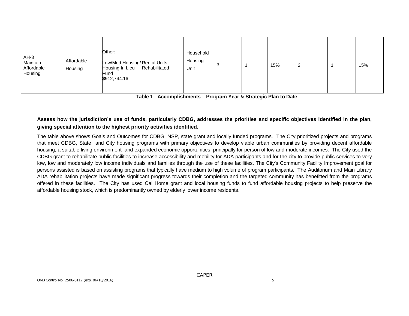| $AH-3$<br>Maintain<br>Affordable<br>Housing | Affordable<br>Housing | Other:<br>Low/Mod Housing/Rental Units<br>Housing In Lieu<br>Fund<br>\$912,744.16 | Rehabilitated | Household<br>Housing<br>Unit | 3 |  | 15% | 2 |  | 15% |
|---------------------------------------------|-----------------------|-----------------------------------------------------------------------------------|---------------|------------------------------|---|--|-----|---|--|-----|
|---------------------------------------------|-----------------------|-----------------------------------------------------------------------------------|---------------|------------------------------|---|--|-----|---|--|-----|

**Table 1** - **Accomplishments – Program Year & Strategic Plan to Date**

#### **Assess how the jurisdiction's use of funds, particularly CDBG, addresses the priorities and specific objectives identified in the plan, giving special attention to the highest priority activities identified.**

The table above shows Goals and Outcomes for CDBG, NSP, state grant and locally funded programs. The City prioritized projects and programs that meet CDBG, State and City housing programs with primary objectives to develop viable urban communities by providing decent affordable housing, a suitable living environment and expanded economic opportunities, principally for person of low and moderate incomes. The City used the CDBG grant to rehabilitate public facilities to increase accessibility and mobility for ADA participants and for the city to provide public services to very low, low and moderately low income individuals and families through the use of these facilities. The City's Community Facility Improvement goal for persons assisted is based on assisting programs that typically have medium to high volume of program participants. The Auditorium and Main Library ADA rehabilitation projects have made significant progress towards their completion and the targeted community has benefitted from the programs offered in these facilities. The City has used Cal Home grant and local housing funds to fund affordable housing projects to help preserve the affordable housing stock, which is predominantly owned by elderly lower income residents.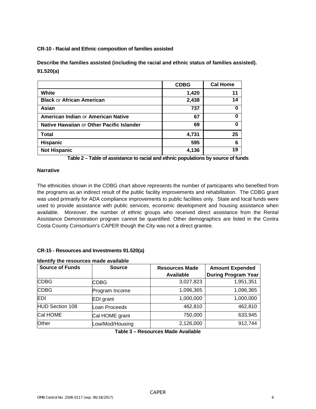**CR-10 - Racial and Ethnic composition of families assisted**

**Describe the families assisted (including the racial and ethnic status of families assisted). 91.520(a)**

|                                           | <b>CDBG</b> | <b>Cal Home</b> |
|-------------------------------------------|-------------|-----------------|
| White                                     | 1,420       | 11              |
| <b>Black or African American</b>          | 2,438       | 14              |
| Asian                                     | 737         | 0               |
| American Indian or American Native        | 67          | 0               |
| Native Hawaiian or Other Pacific Islander | 69          | 0               |
| <b>Total</b>                              | 4,731       | 25              |
| <b>Hispanic</b>                           | 595         | 6               |
| <b>Not Hispanic</b>                       | 4,136       | 19              |

**Table 2 – Table of assistance to racial and ethnic populations by source of funds**

#### **Narrative**

The ethnicities shown in the CDBG chart above represents the number of participants who benefited from the programs as an indirect result of the public facility improvements and rehabilitation. The CDBG grant was used primarily for ADA compliance improvements to public facilities only. State and local funds were used to provide assistance with public services, economic development and housing assistance when available. Moreover, the number of ethnic groups who received direct assistance from the Rental Assistance Demonstration program cannot be quantified. Other demographics are listed in the Contra Costa County Consortium's CAPER though the City was not a direct grantee.

#### **CR-15 - Resources and Investments 91.520(a)**

#### **Identify the resources made available**

| <b>Source of Funds</b> | <b>Source</b>    | <b>Resources Made</b> | <b>Amount Expended</b>     |  |  |
|------------------------|------------------|-----------------------|----------------------------|--|--|
|                        |                  | Available             | <b>During Program Year</b> |  |  |
| <b>CDBG</b>            | <b>CDBG</b>      | 3,027,823             | 1,951,351                  |  |  |
| <b>CDBG</b>            | Program Income   | 1,096,365             | 1,096,365                  |  |  |
| <b>EDI</b>             | <b>EDI</b> grant | 1,000,000             | 1,000,000                  |  |  |
| <b>HUD Section 108</b> | Loan Proceeds    | 462,810               | 462,810                    |  |  |
| Cal HOME               | Cal HOME grant   | 750,000               | 633,945                    |  |  |
| Other                  | Low/Mod/Housing  | 2,126,000             | 912,744                    |  |  |

**Table 3 – Resources Made Available**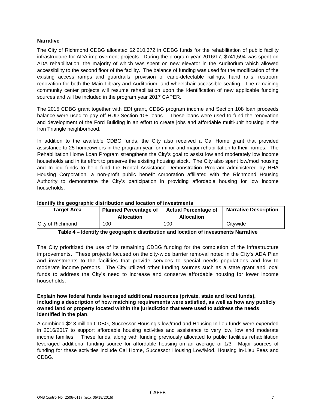#### **Narrative**

The City of Richmond CDBG allocated \$2,210,372 in CDBG funds for the rehabilitation of public facility infrastructure for ADA improvement projects. During the program year 2016/17, \$741,594 was spent on ADA rehabilitation, the majority of which was spent on new elevator in the Auditorium which allowed accessibility to the second floor of the facility. The balance of funding was used for the modification of the existing access ramps and guardrails, provision of cane-detectable railings, hand rails, restroom renovation for both the Main Library and Auditorium, and wheelchair accessible seating. The remaining community center projects will resume rehabilitation upon the identification of new applicable funding sources and will be included in the program year 2017 CAPER.

The 2015 CDBG grant together with EDI grant, CDBG program income and Section 108 loan proceeds balance were used to pay off HUD Section 108 loans. These loans were used to fund the renovation and development of the Ford Building in an effort to create jobs and affordable multi-unit housing in the Iron Triangle neighborhood.

In addition to the available CDBG funds, the City also received a Cal Home grant that provided assistance to 25 homeowners in the program year for minor and major rehabilitation to their homes. The Rehabilitation Home Loan Program strengthens the City's goal to assist low and moderately low income households and in its effort to preserve the existing housing stock. The City also spent low/mod housing and In-lieu funds to help fund the Rental Assistance Demonstration Program administered by RHA Housing Corporation, a non-profit public benefit corporation affiliated with the Richmond Housing Authority to demonstrate the City's participation in providing affordable housing for low income households.

#### **Identify the geographic distribution and location of investments**

| Target Area      | <b>Planned Percentage of</b><br><b>Allocation</b> | <b>Actual Percentage of</b><br><b>Allocation</b> | <b>Narrative Description</b> |  |  |
|------------------|---------------------------------------------------|--------------------------------------------------|------------------------------|--|--|
| City of Richmond | 100                                               | 100                                              | Citywide                     |  |  |

**Table 4 – Identify the geographic distribution and location of investments Narrative**

The City prioritized the use of its remaining CDBG funding for the completion of the infrastructure improvements. These projects focused on the city-wide barrier removal noted in the City's ADA Plan and investments to the facilities that provide services to special needs populations and low to moderate income persons. The City utilized other funding sources such as a state grant and local funds to address the City's need to increase and conserve affordable housing for lower income households.

#### **Explain how federal funds leveraged additional resources (private, state and local funds), including a description of how matching requirements were satisfied, as well as how any publicly owned land or property located within the jurisdiction that were used to address the needs identified in the plan**.

A combined \$2.3 million CDBG, Successor Housing's low/mod and Housing In-lieu funds were expended in 2016/2017 to support affordable housing activities and assistance to very low, low and moderate income families. These funds, along with funding previously allocated to public facilities rehabilitation leveraged additional funding source for affordable housing on an average of 1/3. Major sources of funding for these activities include Cal Home, Successor Housing Low/Mod, Housing In-Lieu Fees and CDBG.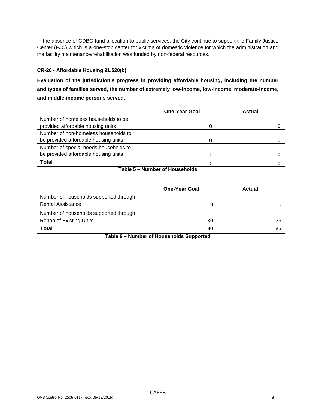In the absence of CDBG fund allocation to public services, the City continue to support the Family Justice Center (FJC) which is a one-stop center for victims of domestic violence for which the administration and the facility maintenance/rehabilitation was funded by non-federal resources.

#### **CR-20 - Affordable Housing 91.520(b)**

**Evaluation of the jurisdiction's progress in providing affordable housing, including the number and types of families served, the number of extremely low-income, low-income, moderate-income, and middle-income persons served.**

|                                       | <b>One-Year Goal</b> | Actual |
|---------------------------------------|----------------------|--------|
| Number of homeless households to be   |                      |        |
| provided affordable housing units     | 0                    |        |
| Number of non-homeless households to  |                      |        |
| be provided affordable housing units  | 0                    |        |
| Number of special-needs households to |                      |        |
| be provided affordable housing units  | 0                    |        |
| <b>Total</b>                          | 0                    |        |

#### **Table 5 – Number of Households**

|                                        | <b>One-Year Goal</b> | <b>Actual</b> |
|----------------------------------------|----------------------|---------------|
| Number of households supported through |                      |               |
| <b>Rental Assistance</b>               |                      |               |
| Number of households supported through |                      |               |
| <b>Rehab of Existing Units</b>         | 30                   | 25            |
| Total                                  | 30                   | 25            |

**Table 6 – Number of Households Supported**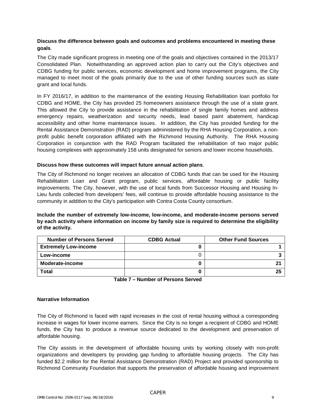#### **Discuss the difference between goals and outcomes and problems encountered in meeting these goals**.

The City made significant progress in meeting one of the goals and objectives contained in the 2013/17 Consolidated Plan. Notwithstanding an approved action plan to carry out the City's objectives and CDBG funding for public services, economic development and home improvement programs, the City managed to meet most of the goals primarily due to the use of other funding sources such as state grant and local funds.

In FY 2016/17, in addition to the maintenance of the existing Housing Rehabilitation loan portfolio for CDBG and HOME, the City has provided 25 homeowners assistance through the use of a state grant. This allowed the City to provide assistance in the rehabilitation of single family homes and address emergency repairs, weatherization and security needs, lead based paint abatement, handicap accessibility and other home maintenance issues. In addition, the City has provided funding for the Rental Assistance Demonstration (RAD) program administered by the RHA Housing Corporation, a nonprofit public benefit corporation affiliated with the Richmond Housing Authority. The RHA Housing Corporation in conjunction with the RAD Program facilitated the rehabilitation of two major public housing complexes with approximately 158 units designated for seniors and lower income households.

#### **Discuss how these outcomes will impact future annual action plans**.

The City of Richmond no longer receives an allocation of CDBG funds that can be used for the Housing Rehabilitation Loan and Grant program, public services, affordable housing or public facility improvements. The City, however, with the use of local funds from Successor Housing and Housing In-Lieu funds collected from developers' fees, will continue to provide affordable housing assistance to the community in addition to the City's participation with Contra Costa County consortium.

**Include the number of extremely low-income, low-income, and moderate-income persons served by each activity where information on income by family size is required to determine the eligibility of the activity.**

| <b>Number of Persons Served</b> | <b>CDBG Actual</b> | <b>Other Fund Sources</b> |
|---------------------------------|--------------------|---------------------------|
| <b>Extremely Low-income</b>     |                    |                           |
| Low-income                      |                    |                           |
| Moderate-income                 |                    |                           |
| <b>Total</b>                    |                    | った                        |

**Table 7 – Number of Persons Served**

#### **Narrative Information**

The City of Richmond is faced with rapid increases in the cost of rental housing without a corresponding increase in wages for lower income earners. Since the City is no longer a recipient of CDBG and HOME funds, the City has to produce a revenue source dedicated to the development and preservation of affordable housing.

The City assists in the development of affordable housing units by working closely with non-profit organizations and developers by providing gap funding to affordable housing projects. The City has funded \$2.2 million for the Rental Assistance Demonstration (RAD) Project and provided sponsorship to Richmond Community Foundation that supports the preservation of affordable housing and improvement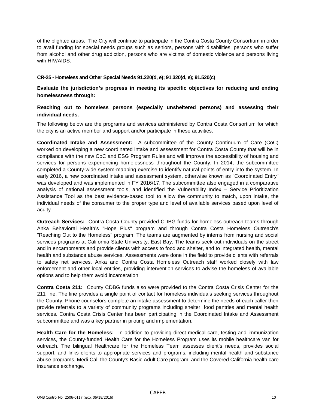of the blighted areas. The City will continue to participate in the Contra Costa County Consortium in order to avail funding for special needs groups such as seniors, persons with disabilities, persons who suffer from alcohol and other drug addiction, persons who are victims of domestic violence and persons living with HIV/AIDS.

#### **CR-25 - Homeless and Other Special Needs 91.220(d, e); 91.320(d, e); 91.520(c)**

**Evaluate the jurisdiction's progress in meeting its specific objectives for reducing and ending homelessness through:**

#### **Reaching out to homeless persons (especially unsheltered persons) and assessing their individual needs.**

The following below are the programs and services administered by Contra Costa Consortium for which the city is an active member and support and/or participate in these activities.

**Coordinated Intake and Assessment:** A subcommittee of the County Continuum of Care (CoC) worked on developing a new coordinated intake and assessment for Contra Costa County that will be in compliance with the new CoC and ESG Program Rules and will improve the accessibility of housing and services for persons experiencing homelessness throughout the County. In 2014, the subcommittee completed a County-wide system-mapping exercise to identify natural points of entry into the system. In early 2016, a new coordinated intake and assessment system, otherwise known as "Coordinated Entry" was developed and was implemented in FY 2016/17. The subcommittee also engaged in a comparative analysis of national assessment tools, and identified the Vulnerability Index – Service Prioritization Assistance Tool as the best evidence-based tool to allow the community to match, upon intake, the individual needs of the consumer to the proper type and level of available services based upon level of acuity.

**Outreach Services:** Contra Costa County provided CDBG funds for homeless outreach teams through Anka Behavioral Health's "Hope Plus" program and through Contra Costa Homeless Outreach's "Reaching Out to the Homeless" program. The teams are augmented by interns from nursing and social services programs at California State University, East Bay. The teams seek out individuals on the street and in encampments and provide clients with access to food and shelter, and to integrated health, mental health and substance abuse services. Assessments were done in the field to provide clients with referrals to safety net services. Anka and Contra Costa Homeless Outreach staff worked closely with law enforcement and other local entities, providing intervention services to advise the homeless of available options and to help them avoid incarceration.

**Contra Costa 211:** County CDBG funds also were provided to the Contra Costa Crisis Center for the 211 line. The line provides a single point of contact for homeless individuals seeking services throughout the County. Phone counselors complete an intake assessment to determine the needs of each caller then provide referrals to a variety of community programs including shelter, food pantries and mental health services. Contra Costa Crisis Center has been participating in the Coordinated Intake and Assessment subcommittee and was a key partner in piloting and implementation.

**Health Care for the Homeless:** In addition to providing direct medical care, testing and immunization services, the County-funded Health Care for the Homeless Program uses its mobile healthcare van for outreach. The bilingual Healthcare for the Homeless Team assesses client's needs, provides social support, and links clients to appropriate services and programs, including mental health and substance abuse programs, Medi-Cal, the County's Basic Adult Care program, and the Covered California health care insurance exchange.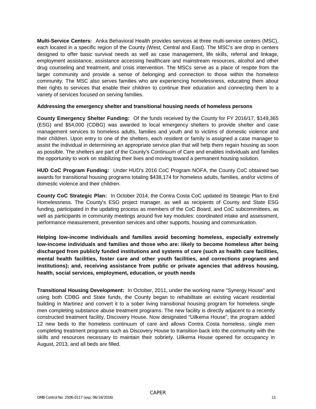**Multi-Service Centers:** Anka Behavioral Health provides services at three multi-service centers (MSC), each located in a specific region of the County (West, Central and East). The MSC's are drop in centers designed to offer basic survival needs as well as case management, life skills, referral and linkage, employment assistance, assistance accessing healthcare and mainstream resources, alcohol and other drug counseling and treatment, and crisis intervention. The MSCs serve as a place of respite from the larger community and provide a sense of belonging and connection to those within the homeless community. The MSC also serves families who are experiencing homelessness, educating them about their rights to services that enable their children to continue their education and connecting them to a variety of services focused on serving families.

#### **Addressing the emergency shelter and transitional housing needs of homeless persons**

**County Emergency Shelter Funding:** Of the funds received by the County for FY 2016/17, \$149,365 (ESG) and \$54,000 (CDBG) was awarded to local emergency shelters to provide shelter and case management services to homeless adults, families and youth and to victims of domestic violence and their children. Upon entry to one of the shelters, each resident or family is assigned a case manager to assist the individual in determining an appropriate service plan that will help them regain housing as soon as possible. The shelters are part of the County's Continuum of Care and enables individuals and families the opportunity to work on stabilizing their lives and moving toward a permanent housing solution.

**HUD CoC Program Funding:** Under HUD's 2016 CoC Program NOFA, the County CoC obtained two awards for transitional housing programs totaling \$438,174 for homeless adults, families, and/or victims of domestic violence and their children.

**County CoC Strategic Plan:** In October 2014, the Contra Costa CoC updated its Strategic Plan to End Homelessness. The County's ESG project manager, as well as recipients of County and State ESG funding, participated in the updating process as members of the CoC Board, and CoC subcommittees, as well as participants in community meetings around five key modules: coordinated intake and assessment, performance measurement, prevention services and other supports, housing and communication.

**Helping low-income individuals and families avoid becoming homeless, especially extremely low-income individuals and families and those who are: likely to become homeless after being discharged from publicly funded institutions and systems of care (such as health care facilities, mental health facilities, foster care and other youth facilities, and corrections programs and institutions); and, receiving assistance from public or private agencies that address housing, health, social services, employment, education, or youth needs**

**Transitional Housing Development:** In October, 2011, under the working name "Synergy House" and using both CDBG and State funds, the County began to rehabilitate an existing vacant residential building in Martinez and convert it to a sober living transitional housing program for homeless single men completing substance abuse treatment programs. The new facility is directly adjacent to a recently constructed treatment facility, Discovery House. Now designated "Uilkema House", the program added 12 new beds to the homeless continuum of care and allows Contra Costa homeless, single men completing treatment programs such as Discovery House to transition back into the community with the skills and resources necessary to maintain their sobriety. Uilkema House opened for occupancy in August, 2013, and all beds are filled.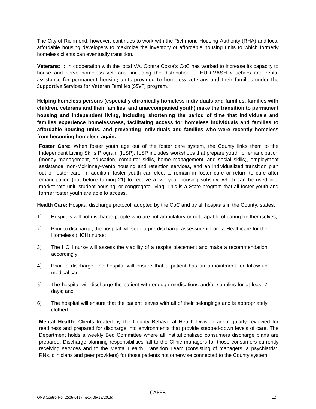The City of Richmond, however, continues to work with the Richmond Housing Authority (RHA) and local affordable housing developers to maximize the inventory of affordable housing units to which formerly homeless clients can eventually transition.

**Veterans**: **:** In cooperation with the local VA, Contra Costa's CoC has worked to increase its capacity to house and serve homeless veterans, including the distribution of HUD-VASH vouchers and rental assistance for permanent housing units provided to homeless veterans and their families under the Supportive Services for Veteran Families (SSVF) program.

**Helping homeless persons (especially chronically homeless individuals and families, families with children, veterans and their families, and unaccompanied youth) make the transition to permanent housing and independent living, including shortening the period of time that individuals and families experience homelessness, facilitating access for homeless individuals and families to affordable housing units, and preventing individuals and families who were recently homeless from becoming homeless again.**

**Foster Care:** When foster youth age out of the foster care system, the County links them to the Independent Living Skills Program (ILSP). ILSP includes workshops that prepare youth for emancipation (money management, education, computer skills, home management, and social skills), employment assistance, non-McKinney-Vento housing and retention services, and an individualized transition plan out of foster care. In addition, foster youth can elect to remain in foster care or return to care after emancipation (but before turning 21) to receive a two-year housing subsidy, which can be used in a market rate unit, student housing, or congregate living. This is a State program that all foster youth and former foster youth are able to access.

**Health Care:** Hospital discharge protocol, adopted by the CoC and by all hospitals in the County, states:

- 1) Hospitals will not discharge people who are not ambulatory or not capable of caring for themselves;
- 2) Prior to discharge, the hospital will seek a pre-discharge assessment from a Healthcare for the Homeless (HCH) nurse;
- 3) The HCH nurse will assess the viability of a respite placement and make a recommendation accordingly;
- 4) Prior to discharge, the hospital will ensure that a patient has an appointment for follow-up medical care;
- 5) The hospital will discharge the patient with enough medications and/or supplies for at least 7 days; and
- 6) The hospital will ensure that the patient leaves with all of their belongings and is appropriately clothed.

**Mental Health:** Clients treated by the County Behavioral Health Division are regularly reviewed for readiness and prepared for discharge into environments that provide stepped-down levels of care. The Department holds a weekly Bed Committee where all institutionalized consumers discharge plans are prepared. Discharge planning responsibilities fall to the Clinic managers for those consumers currently receiving services and to the Mental Health Transition Team (consisting of managers, a psychiatrist, RNs, clinicians and peer providers) for those patients not otherwise connected to the County system.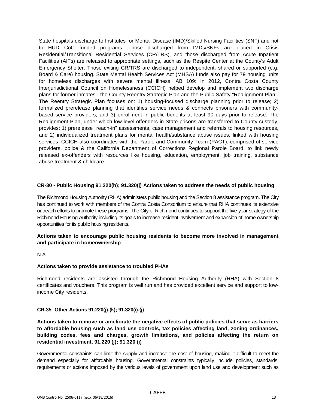State hospitals discharge to Institutes for Mental Disease (IMD)/Skilled Nursing Facilities (SNF) and not to HUD CoC funded programs. Those discharged from IMDs/SNFs are placed in Crisis Residential/Transitional Residential Services (CR/TRS), and those discharged from Acute Inpatient Facilities (AIFs) are released to appropriate settings, such as the Respite Center at the County's Adult Emergency Shelter. Those exiting CR/TRS are discharged to independent, shared or supported (e.g. Board & Care) housing. State Mental Health Services Act (MHSA) funds also pay for 79 housing units for homeless discharges with severe mental illness. AB 109: In 2012, Contra Costa County Interjurisdictional Council on Homelessness (CCICH) helped develop and implement two discharge plans for former inmates - the County Reentry Strategic Plan and the Public Safety "Realignment Plan." The Reentry Strategic Plan focuses on: 1) housing-focused discharge planning prior to release; 2) formalized prerelease planning that identifies service needs & connects prisoners with communitybased service providers; and 3) enrollment in public benefits at least 90 days prior to release. The Realignment Plan, under which low-level offenders in State prisons are transferred to County custody, provides: 1) prerelease "reach-in" assessments, case management and referrals to housing resources, and 2) individualized treatment plans for mental health/substance abuse issues, linked with housing services. CCICH also coordinates with the Parole and Community Team (PACT), comprised of service providers, police & the California Department of Corrections Regional Parole Board, to link newly released ex-offenders with resources like housing, education, employment, job training, substance abuse treatment & childcare.

#### **CR-30 - Public Housing 91.220(h); 91.320(j) Actions taken to address the needs of public housing**

The Richmond Housing Authority (RHA) administers public housing and the Section 8 assistance program. The City has continued to work with members of the Contra Costa Consortium to ensure that RHA continues its extensive outreach efforts to promote these programs. The City of Richmond continues to support the five-year strategy of the Richmond Housing Authority including its goals to increase resident involvement and expansion of home ownership opportunities for its public housing residents.

#### **Actions taken to encourage public housing residents to become more involved in management and participate in homeownership**

#### N.A

#### **Actions taken to provide assistance to troubled PHAs**

Richmond residents are assisted through the Richmond Housing Authority (RHA) with Section 8 certificates and vouchers. This program is well run and has provided excellent service and support to lowincome City residents.

#### **CR-35** - **Other Actions 91.220(j)-(k); 91.320(i)-(j)**

**Actions taken to remove or ameliorate the negative effects of public policies that serve as barriers to affordable housing such as land use controls, tax policies affecting land, zoning ordinances, building codes, fees and charges, growth limitations, and policies affecting the return on residential investment. 91.220 (j); 91.320 (i)**

Governmental constraints can limit the supply and increase the cost of housing, making it difficult to meet the demand especially for affordable housing. Governmental constraints typically include policies, standards, requirements or actions imposed by the various levels of government upon land use and development such as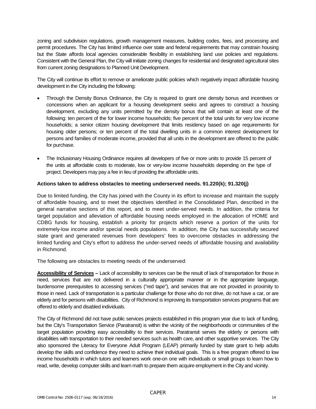zoning and subdivision regulations, growth management measures, building codes, fees, and processing and permit procedures. The City has limited influence over state and federal requirements that may constrain housing but the State affords local agencies considerable flexibility in establishing land use policies and regulations. Consistent with the General Plan, the City will initiate zoning changes for residential and designated agricultural sites from current zoning designations to Planned Unit Development.

The City will continue its effort to remove or ameliorate public policies which negatively impact affordable housing development in the City including the following:

- Through the Density Bonus Ordinance, the City is required to grant one density bonus and incentives or concessions when an applicant for a housing development seeks and agrees to construct a housing development, excluding any units permitted by the density bonus that will contain at least one of the following: ten percent of the for lower income households; five percent of the total units for very low income households; a senior citizen housing development that limits residency based on age requirements for housing older persons; or ten percent of the total dwelling units in a common interest development for persons and families of moderate income, provided that all units in the development are offered to the public for purchase.
- The Inclusionary Housing Ordinance requires all developers of five or more units to provide 15 percent of the units at affordable costs to moderate, low or very-low income households depending on the type of project. Developers may pay a fee in lieu of providing the affordable units.

#### **Actions taken to address obstacles to meeting underserved needs. 91.220(k); 91.320(j)**

Due to limited funding, the City has joined with the County in its effort to increase and maintain the supply of affordable housing, and to meet the objectives identified in the Consolidated Plan, described in the general narrative sections of this report, and to meet under-served needs. In addition, the criteria for target population and alleviation of affordable housing needs employed in the allocation of HOME and CDBG funds for housing, establish a priority for projects which reserve a portion of the units for extremely-low income and/or special needs populations. In addition, the City has successfully secured state grant and generated revenues from developers' fees to overcome obstacles in addressing the limited funding and City's effort to address the under-served needs of affordable housing and availability in Richmond.

The following are obstacles to meeting needs of the underserved:

**Accessibility of Services –** Lack of accessibility to services can be the result of lack of transportation for those in need, services that are not delivered in a culturally appropriate manner or in the appropriate language, burdensome prerequisites to accessing services ("red tape"), and services that are not provided in proximity to those in need. Lack of transportation is a particular challenge for those who do not drive, do not have a car, or are elderly and for persons with disabilities. City of Richmond is improving its transportation services programs that are offered to elderly and disabled individuals.

The City of Richmond did not have public services projects established in this program year due to lack of funding, but the City's Transportation Service (Paratransit) is within the vicinity of the neighborhoods or communities of the target population providing easy accessibility to their services. Paratransit serves the elderly or persons with disabilities with transportation to their needed services such as health care, and other supportive services. The City also sponsored the Literacy for Everyone Adult Program (LEAP) primarily funded by state grant to help adults develop the skills and confidence they need to achieve their individual goals. This is a free program offered to low income households in which tutors and learners work one-on one with individuals or small groups to learn how to read, write, develop computer skills and learn math to prepare them acquire employment in the City and vicinity.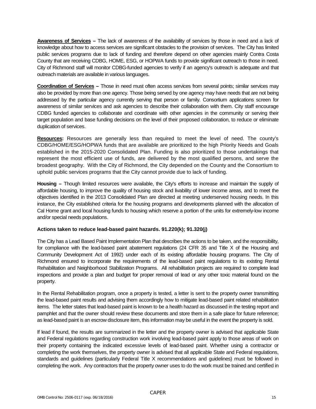**Awareness of Services –** The lack of awareness of the availability of services by those in need and a lack of knowledge about how to access services are significant obstacles to the provision of services. The City has limited public services programs due to lack of funding and therefore depend on other agencies mainly Contra Costa County that are receiving CDBG, HOME, ESG, or HOPWA funds to provide significant outreach to those in need. City of Richmond staff will monitor CDBG-funded agencies to verify if an agency's outreach is adequate and that outreach materials are available in various languages.

**Coordination of Services –** Those in need must often access services from several points; similar services may also be provided by more than one agency. Those being served by one agency may have needs that are not being addressed by the particular agency currently serving that person or family. Consortium applications screen for awareness of similar services and ask agencies to describe their collaboration with them. City staff encourage CDBG funded agencies to collaborate and coordinate with other agencies in the community or serving their target population and base funding decisions on the level of their proposed collaboration, to reduce or eliminate duplication of services.

**Resources:** Resources are generally less than required to meet the level of need. The county's CDBG/HOME/ESG/HOPWA funds that are available are prioritized to the high Priority Needs and Goals established in the 2015-2020 Consolidated Plan. Funding is also prioritized to those undertakings that represent the most efficient use of funds, are delivered by the most qualified persons, and serve the broadest geography. With the City of Richmond, the City depended on the County and the Consortium to uphold public services programs that the City cannot provide due to lack of funding.

**Housing –** Though limited resources were available, the City's efforts to increase and maintain the supply of affordable housing, to improve the quality of housing stock and livability of lower income areas, and to meet the objectives identified in the 2013 Consolidated Plan are directed at meeting underserved housing needs. In this instance, the City established criteria for the housing programs and developments planned with the allocation of Cal Home grant and local housing funds to housing which reserve a portion of the units for extremely-low income and/or special needs populations.

#### **Actions taken to reduce lead-based paint hazards. 91.220(k); 91.320(j)**

The City has a Lead Based Paint Implementation Plan that describes the actions to be taken, and the responsibility, for compliance with the lead-based paint abatement regulations (24 CFR 35 and Title X of the Housing and Community Development Act of 1992) under each of its existing affordable housing programs. The City of Richmond ensured to incorporate the requirements of the lead-based paint regulations to its existing Rental Rehabilitation and Neighborhood Stabilization Programs. All rehabilitation projects are required to complete lead inspections and provide a plan and budget for proper removal of lead or any other toxic material found on the property.

In the Rental Rehabilitation program, once a property is tested, a letter is sent to the property owner transmitting the lead-based paint results and advising them accordingly how to mitigate lead-based paint related rehabilitation items. The letter states that lead-based paint is known to be a health hazard as discussed in the testing report and pamphlet and that the owner should review these documents and store them in a safe place for future reference; as lead-based paint is an escrow disclosure item, this information may be useful in the event the property is sold.

If lead if found, the results are summarized in the letter and the property owner is advised that applicable State and Federal regulations regarding construction work involving lead-based paint apply to those areas of work on their property containing the indicated excessive levels of lead-based paint. Whether using a contractor or completing the work themselves, the property owner is advised that all applicable State and Federal regulations, standards and guidelines (particularly Federal Title X recommendations and guidelines) must be followed in completing the work. Any contractors that the property owner uses to do the work must be trained and certified in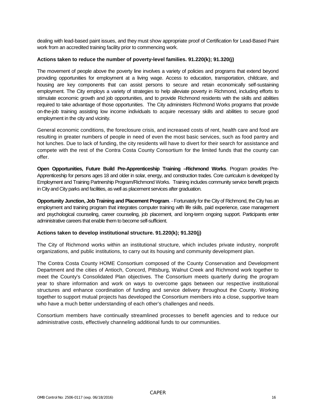dealing with lead-based paint issues, and they must show appropriate proof of Certification for Lead-Based Paint work from an accredited training facility prior to commencing work.

#### **Actions taken to reduce the number of poverty-level families. 91.220(k); 91.320(j)**

The movement of people above the poverty line involves a variety of policies and programs that extend beyond providing opportunities for employment at a living wage. Access to education, transportation, childcare, and housing are key components that can assist persons to secure and retain economically self-sustaining employment. The City employs a variety of strategies to help alleviate poverty in Richmond, including efforts to stimulate economic growth and job opportunities, and to provide Richmond residents with the skills and abilities required to take advantage of those opportunities. The City administers Richmond Works programs that provide on-the-job training assisting low income individuals to acquire necessary skills and abilities to secure good employment in the city and vicinity.

General economic conditions, the foreclosure crisis, and increased costs of rent, health care and food are resulting in greater numbers of people in need of even the most basic services, such as food pantry and hot lunches. Due to lack of funding, the city residents will have to divert for their search for assistance and compete with the rest of the Contra Costa County Consortium for the limited funds that the county can offer.

**Open Opportunities, Future Build Pre-Apprenticeship Training –Richmond Works**. Program provides Pre-Apprenticeship for persons ages 18 and older in solar, energy, and construction trades. Core curriculum is developed by Employment and Training Partnership Program/Richmond Works. Training includes community service benefit projects in City and City parks and facilities, as well as placement services after graduation.

**Opportunity Junction, Job Training and Placement Program**. - Fortunately for the City of Richmond, the City has an employment and training program that integrates computer training with life skills, paid experience, case management and psychological counseling, career counseling, job placement, and long-term ongoing support. Participants enter administrative careers that enable them to become self-sufficient.

#### **Actions taken to develop institutional structure. 91.220(k); 91.320(j)**

The City of Richmond works within an institutional structure, which includes private industry, nonprofit organizations, and public institutions, to carry out its housing and community development plan.

The Contra Costa County HOME Consortium composed of the County Conservation and Development Department and the cities of Antioch, Concord, Pittsburg, Walnut Creek and Richmond work together to meet the County's Consolidated Plan objectives. The Consortium meets quarterly during the program year to share information and work on ways to overcome gaps between our respective institutional structures and enhance coordination of funding and service delivery throughout the County. Working together to support mutual projects has developed the Consortium members into a close, supportive team who have a much better understanding of each other's challenges and needs.

Consortium members have continually streamlined processes to benefit agencies and to reduce our administrative costs, effectively channeling additional funds to our communities.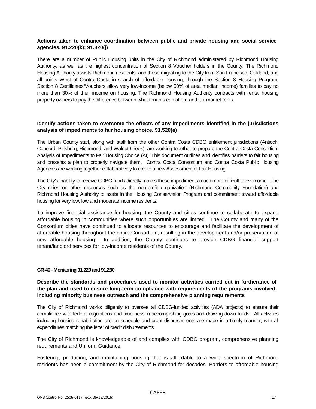#### **Actions taken to enhance coordination between public and private housing and social service agencies. 91.220(k); 91.320(j)**

There are a number of Public Housing units in the City of Richmond administered by Richmond Housing Authority, as well as the highest concentration of Section 8 Voucher holders in the County. The Richmond Housing Authority assists Richmond residents, and those migrating to the City from San Francisco, Oakland, and all points West of Contra Costa in search of affordable housing, through the Section 8 Housing Program. Section 8 Certificates/Vouchers allow very low-income (below 50% of area median income) families to pay no more than 30% of their income on housing. The Richmond Housing Authority contracts with rental housing property owners to pay the difference between what tenants can afford and fair market rents.

#### **Identify actions taken to overcome the effects of any impediments identified in the jurisdictions analysis of impediments to fair housing choice. 91.520(a)**

The Urban County staff, along with staff from the other Contra Costa CDBG entitlement jurisdictions (Antioch, Concord, Pittsburg, Richmond, and Walnut Creek), are working together to prepare the Contra Costa Consortium Analysis of Impediments to Fair Housing Choice (AI). This document outlines and identifies barriers to fair housing and presents a plan to properly navigate them. Contra Costa Consortium and Contra Costa Public Housing Agencies are working together collaboratively to create a new Assessment of Fair Housing.

The City's inability to receive CDBG funds directly makes these impediments much more difficult to overcome. The City relies on other resources such as the non-profit organization (Richmond Community Foundation) and Richmond Housing Authority to assist in the Housing Conservation Program and commitment toward affordable housing for very low, low and moderate income residents.

To improve financial assistance for housing, the County and cities continue to collaborate to expand affordable housing in communities where such opportunities are limited. The County and many of the Consortium cities have continued to allocate resources to encourage and facilitate the development of affordable housing throughout the entire Consortium, resulting in the development and/or preservation of new affordable housing. In addition, the County continues to provide CDBG financial support tenant/landlord services for low-income residents of the County.

#### **CR-40 -Monitoring 91.220 and 91.230**

#### **Describe the standards and procedures used to monitor activities carried out in furtherance of the plan and used to ensure long-term compliance with requirements of the programs involved, including minority business outreach and the comprehensive planning requirements**

The City of Richmond works diligently to oversee all CDBG-funded activities (ADA projects) to ensure their compliance with federal regulations and timeliness in accomplishing goals and drawing down funds. All activities including housing rehabilitation are on schedule and grant disbursements are made in a timely manner, with all expenditures matching the letter of credit disbursements.

The City of Richmond is knowledgeable of and complies with CDBG program, comprehensive planning requirements and Uniform Guidance.

Fostering, producing, and maintaining housing that is affordable to a wide spectrum of Richmond residents has been a commitment by the City of Richmond for decades. Barriers to affordable housing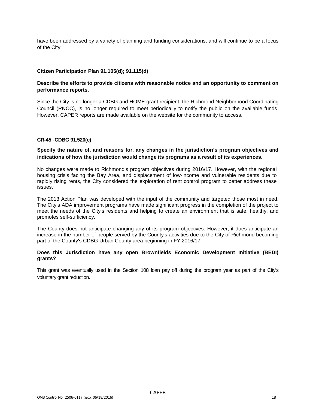have been addressed by a variety of planning and funding considerations, and will continue to be a focus of the City.

#### **Citizen Participation Plan 91.105(d); 91.115(d)**

#### **Describe the efforts to provide citizens with reasonable notice and an opportunity to comment on performance reports.**

Since the City is no longer a CDBG and HOME grant recipient, the Richmond Neighborhood Coordinating Council (RNCC), is no longer required to meet periodically to notify the public on the available funds. However, CAPER reports are made available on the website for the community to access.

#### **CR-45** - **CDBG 91.520(c)**

#### **Specify the nature of, and reasons for, any changes in the jurisdiction's program objectives and indications of how the jurisdiction would change its programs as a result of its experiences.**

No changes were made to Richmond's program objectives during 2016/17. However, with the regional housing crisis facing the Bay Area, and displacement of low-income and vulnerable residents due to rapidly rising rents, the City considered the exploration of rent control program to better address these issues.

The 2013 Action Plan was developed with the input of the community and targeted those most in need. The City's ADA improvement programs have made significant progress in the completion of the project to meet the needs of the City's residents and helping to create an environment that is safe, healthy, and promotes self-sufficiency.

The County does not anticipate changing any of its program objectives. However, it does anticipate an increase in the number of people served by the County's activities due to the City of Richmond becoming part of the County's CDBG Urban County area beginning in FY 2016/17.

#### **Does this Jurisdiction have any open Brownfields Economic Development Initiative (BEDI) grants?**

This grant was eventually used in the Section 108 loan pay off during the program year as part of the City's voluntary grant reduction.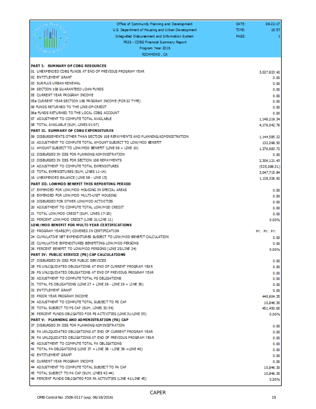|                                                                                                | Office of Community Planning and Development                                   | DATE: | 09-22-17               |
|------------------------------------------------------------------------------------------------|--------------------------------------------------------------------------------|-------|------------------------|
|                                                                                                | U.S. Department of Housing and Urban Development.                              | TIME: | 10:57                  |
|                                                                                                | Integrated Disbursement and Information System                                 | PAGE: | 1                      |
|                                                                                                | PR26 - CDBG Financial Summary Report                                           |       |                        |
|                                                                                                | Program Year 2016                                                              |       |                        |
|                                                                                                | RICHMOND, CA                                                                   |       |                        |
|                                                                                                |                                                                                |       |                        |
| <b>PART I: SUMMARY OF CDBG RESOURCES</b>                                                       |                                                                                |       |                        |
|                                                                                                | 01 UNEXPENDED CDBG FUNDS AT END OF PREVIOUS PROGRAM YEAR                       |       | 3.027.823.42           |
| 02 ENTITLEMENT GRANT                                                                           |                                                                                |       | 0.00                   |
| 03 SURPLUS URBAN RENEWAL                                                                       |                                                                                |       | 0.00                   |
| 04 SECTION 108 GUARANTEED LOAN FUNDS                                                           |                                                                                |       | 0.00                   |
| 05 CURRENT YEAR PROGRAM INCOME                                                                 |                                                                                |       | 0.00                   |
| 06 FUNDS RETURNED TO THE LINE-OF-CREDIT                                                        | 05a CURRENT YEAR SECTION 108 PROGRAM INCOME (FOR SI TYPE)                      |       | 0.00                   |
| 06a FUNDS RETURNED TO THE LOCAL CDBG ACCOUNT                                                   |                                                                                |       | 0.00<br>0.00           |
| 07 ADJUSTMENT TO COMPUTE TOTAL AVAILABLE                                                       |                                                                                |       | 1.148.219.34           |
| 08 TOTAL AVAILABLE (SUM, LINES 01-07)                                                          |                                                                                |       | 4.176.042.76           |
| PART II: SUMMARY OF CDBG EXPENDITURES                                                          |                                                                                |       |                        |
|                                                                                                | 09 DISBURSEMENTS OTHER THAN SECTION 108 REPAYMENTS AND PLANNING/ADMINISTRATION |       | 1,144,585.22           |
|                                                                                                | 10 ADJUSTMENT TO COMPUTE TOTAL AMOUNT SUBJECT TO LOW/MOD BENEFIT               |       | 132.098.50             |
|                                                                                                | 11 AMOUNT SUBJECT TO LOW/MOD BENEFIT (LINE 09 + LINE 10)                       |       | 1.276.683.72           |
| 12 DISBURSED IN IDIS FOR PLANNING/ADMINISTRATION                                               |                                                                                |       | 0.00                   |
| 13 DISBURSED IN IDIS FOR SECTION 108 REPAYMENTS.                                               |                                                                                |       | 2.306.121.43           |
| 14 ADJUSTMENT TO COMPUTE TOTAL EXPENDITURES                                                    |                                                                                |       | (535.089.31)           |
| 15 TOTAL EXPENDITURES (SUM, LINES 11-14)                                                       |                                                                                |       | 3,047,715.84           |
| 16 UNEXPENDED BALANCE (LINE 08 - LINE 15)                                                      |                                                                                |       | 1.128.326.92           |
| PART III: LOWMOD BENEFIT THIS REPORTING PERIOD                                                 |                                                                                |       |                        |
| 17 EXPENDED FOR LOW/MOD HOUSING IN SPECIAL AREAS                                               |                                                                                |       | 0.00                   |
| 18 EXPENDED FOR LOW/MOD MULTI-UNIT HOUSING                                                     |                                                                                |       | 0.00                   |
| 19 DISBURSED FOR OTHER LOW/MOD ACTIVITIES                                                      |                                                                                |       | 0.00                   |
| 20 ADJUSTMENT TO COMPUTE TOTAL LOW/MOD CREDIT                                                  |                                                                                |       | 0.00                   |
| 21 TOTAL LOW/MOD CREDIT (SUM, LINES 17-20)                                                     |                                                                                |       | 0.00                   |
| 22 PERCENT LOW/MOD CREDIT (LINE 21/LINE 11)                                                    |                                                                                |       | 0.00%                  |
| LOW/MOD BENEFIT FOR MULTI-YEAR CERTIFICATIONS<br>23 PROGRAM YEARS(PY) COVERED IN CERTIFICATION |                                                                                |       |                        |
|                                                                                                | 24 CUMULATIVE NET EXPENDITURES SUBJECT TO LOW/MOD BENEFIT CALCULATION          |       | PY: PY: PY:            |
|                                                                                                | 25 CUMULATIVE EXPENDITURES BENEFITING LOW/MOD PERSONS                          |       | 0.00                   |
|                                                                                                | 26 PERCENT BENEFIT TO LOW/MOD PERSONS (LINE 25/LINE 24)                        |       | 0.00<br>0.00%          |
| PART IV: PUBLIC SERVICE (PS) CAP CALCULATIONS                                                  |                                                                                |       |                        |
| 27 DISBURSED IN IDIS FOR PUBLIC SERVICES                                                       |                                                                                |       | 0.00                   |
|                                                                                                | 28 PS UNLIQUIDATED OBLIGATIONS AT END OF CURRENT PROGRAM YEAR                  |       | 0.00                   |
|                                                                                                | 29 PS UNLIQUIDATED OBLIGATIONS AT END OF PREVIOUS PROGRAM YEAR                 |       | 0.00                   |
| 30 ADJUSTMENT TO COMPUTE TOTAL PS OBLIGATIONS                                                  |                                                                                |       | 0.00                   |
|                                                                                                | 31 TOTAL PS OBLIGATIONS (LINE 27 + LINE 28 - LINE 29 + LINE 30)                |       | 0.00                   |
| 32 ENTITLEMENT GRANT                                                                           |                                                                                |       | 0.00                   |
| 33 PRIOR YEAR PROGRAM INCOME                                                                   |                                                                                |       | 440.604.35             |
| 34 ADJUSTMENT TO COMPUTE TOTAL SUBJECT TO PS CAP                                               |                                                                                |       | 10,846.30              |
| 35 TOTAL SUBJECT TO PS CAP (SUM, LINES 32-34)                                                  |                                                                                |       | 451,450.65             |
|                                                                                                | 36 PERCENT FUNDS OBLIGATED FOR PS ACTIVITIES (LINE 31/LINE 35)                 |       | 0.00%                  |
| PART V: PLANNING AND ADMINISTRATION (PA) CAP                                                   |                                                                                |       |                        |
| 37 DISBURSED IN IDIS FOR PLANNING/ADMINISTRATION                                               |                                                                                |       | 0.00                   |
|                                                                                                | 38 PA UNLIOUIDATED OBLIGATIONS AT END OF CURRENT PROGRAM YEAR                  |       | 0.00                   |
|                                                                                                | 39 PA UNLIQUIDATED OBLIGATIONS AT END OF PREVIOUS PROGRAM YEAR                 |       | 0.00                   |
| 40 ADJUSTMENT TO COMPUTE TOTAL PA OBLIGATIONS                                                  |                                                                                |       | 0.00                   |
| 42 ENTITLEMENT GRANT                                                                           | 41 TOTAL PA OBLIGATIONS (LINE 37 + LINE 38 - LINE 39 + LINE 40)                |       | 0.00                   |
| 43 CURRENT YEAR PROGRAM INCOME                                                                 |                                                                                |       | 0.00                   |
| 44 ADJUSTMENT TO COMPUTE TOTAL SUBJECT TO PA CAP                                               |                                                                                |       | 0.00                   |
| 45 TOTAL SUBJECT TO PA CAP (SUM, LINES 42-44)                                                  |                                                                                |       | 10,846.30<br>10,846.30 |
|                                                                                                | 46 PERCENT FUNDS OBLIGATED FOR PA ACTIVITIES (LINE 41/LINE 45)                 |       | 0.00%                  |
|                                                                                                |                                                                                |       |                        |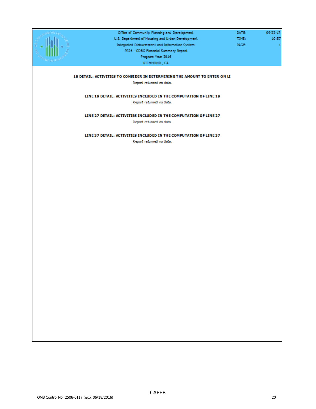| Office of Community Planning and Development                               | DATE: | 09-22-17 |
|----------------------------------------------------------------------------|-------|----------|
| U.S. Department of Housing and Urban Development                           | TIME: | 10:57    |
| Integrated Disbursement and Information System                             | PAGE: | 1        |
| PR26 - CDBG Financial Summary Report                                       |       |          |
| Program Year 2016                                                          |       |          |
| RICHMOND, CA                                                               |       |          |
|                                                                            |       |          |
|                                                                            |       |          |
| 18 DETAIL: ACTIVITIES TO CONSIDER IN DETERMINING THE AMOUNT TO ENTER ON LI |       |          |
| Report returned no data.                                                   |       |          |
|                                                                            |       |          |
| LINE 19 DETAIL: ACTIVITIES INCLUDED IN THE COMPUTATION OF LINE 19          |       |          |
| Report returned no data.                                                   |       |          |
|                                                                            |       |          |
| LINE 27 DETAIL: ACTIVITIES INCLUDED IN THE COMPUTATION OF LINE 27          |       |          |
| Report returned no data.                                                   |       |          |
|                                                                            |       |          |
| LINE 37 DETAIL: ACTIVITIES INCLUDED IN THE COMPUTATION OF LINE 37          |       |          |
| Report returned no data.                                                   |       |          |
|                                                                            |       |          |
|                                                                            |       |          |
|                                                                            |       |          |
|                                                                            |       |          |
|                                                                            |       |          |
|                                                                            |       |          |
|                                                                            |       |          |
|                                                                            |       |          |
|                                                                            |       |          |
|                                                                            |       |          |
|                                                                            |       |          |
|                                                                            |       |          |
|                                                                            |       |          |
|                                                                            |       |          |
|                                                                            |       |          |
|                                                                            |       |          |
|                                                                            |       |          |
|                                                                            |       |          |
|                                                                            |       |          |
|                                                                            |       |          |
|                                                                            |       |          |
|                                                                            |       |          |
|                                                                            |       |          |
|                                                                            |       |          |
|                                                                            |       |          |
|                                                                            |       |          |
|                                                                            |       |          |
|                                                                            |       |          |
|                                                                            |       |          |
|                                                                            |       |          |
|                                                                            |       |          |
|                                                                            |       |          |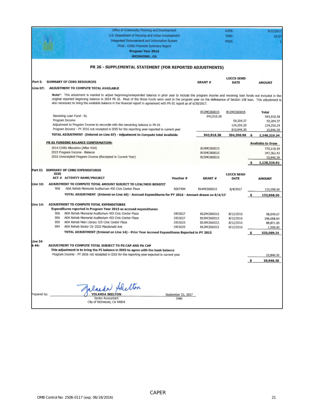|                  |             | Office of Community Planning and Development                                                                                                                                                                                                                                                                                                                                                                                                                   |                            |               | DATE:                            |    | 9/22/2017                |
|------------------|-------------|----------------------------------------------------------------------------------------------------------------------------------------------------------------------------------------------------------------------------------------------------------------------------------------------------------------------------------------------------------------------------------------------------------------------------------------------------------------|----------------------------|---------------|----------------------------------|----|--------------------------|
|                  |             | U.S. Department of Housing and Urban Development                                                                                                                                                                                                                                                                                                                                                                                                               |                            |               | TIME:                            |    | 10:57                    |
|                  |             | Integrated Disbursement and Information System                                                                                                                                                                                                                                                                                                                                                                                                                 |                            |               | PAGE:                            |    |                          |
|                  |             | PR26 - CDBG Financial Summary Report                                                                                                                                                                                                                                                                                                                                                                                                                           |                            |               |                                  |    |                          |
|                  |             | Program Year 2016                                                                                                                                                                                                                                                                                                                                                                                                                                              |                            |               |                                  |    |                          |
|                  |             | <b>RICHMOND, CA</b>                                                                                                                                                                                                                                                                                                                                                                                                                                            |                            |               |                                  |    |                          |
|                  |             |                                                                                                                                                                                                                                                                                                                                                                                                                                                                |                            |               |                                  |    |                          |
|                  |             | PR 26 - SUPPLEMENTAL STATEMENT (FOR REPORTED ADJUSTMENTS)                                                                                                                                                                                                                                                                                                                                                                                                      |                            |               |                                  |    |                          |
| Part I:          |             | <b>SUMMARY OF CDBG RESOURCES</b>                                                                                                                                                                                                                                                                                                                                                                                                                               |                            | <b>GRANT#</b> | <b>LOCCS SEND</b><br><b>DATE</b> |    | <b>AMOUNT</b>            |
| <b>Line 07:</b>  |             | ADJUSTMENT TO COMPUTE TOTAL AVAILABLE                                                                                                                                                                                                                                                                                                                                                                                                                          |                            |               |                                  |    |                          |
|                  |             | Note*: This adustment is needed to adjust beginning/unexpended balance in prior year to include the program income and revolving loan funds not included in the<br>original reported beginning balance in 2014 PR 26. Most of the these funds were used in the program year on the defeasance of Section 108 loan. This adjustment is<br>also necessary to bring the available balance in the financial report in agreement with PR 01 report as of 6/30/2017. |                            |               |                                  |    |                          |
|                  |             | Revolving Loan Fund - RL                                                                                                                                                                                                                                                                                                                                                                                                                                       |                            | B12MC060015   | B12MC060015                      |    | <b>Total</b>             |
|                  |             | Program Income                                                                                                                                                                                                                                                                                                                                                                                                                                                 |                            | 943,918.38    | 59,204.37                        |    | 943,918.38<br>59,204.37  |
|                  |             | Adjustment to Program Income to reconcile with the remaining balance in PR 01                                                                                                                                                                                                                                                                                                                                                                                  |                            |               | 134,250.29                       |    | 134,250.29               |
|                  |             | Program Income - PY 2016 not receipted in IDIS for the reporting year-reported in current year                                                                                                                                                                                                                                                                                                                                                                 |                            |               | \$10,846.30                      |    | 10,846.30                |
|                  |             | TOTAL ADJUSTMENT (Entered on Line 07) - Adjustment to Compute total Available                                                                                                                                                                                                                                                                                                                                                                                  |                            | 943,918.38    | 204,300.96                       | Ś  | 1,148,219.34             |
|                  |             | PR 01 FUNDING BALANCE CONFIRMATION:                                                                                                                                                                                                                                                                                                                                                                                                                            |                            |               |                                  |    | <b>Available to Draw</b> |
|                  |             | 2014 CDBG Allocation (After VGR)                                                                                                                                                                                                                                                                                                                                                                                                                               |                            | B14MC060015   |                                  |    | 770,118.19               |
|                  |             | 2015 Program Income - Balance                                                                                                                                                                                                                                                                                                                                                                                                                                  |                            | B15MC060015   |                                  |    | 347,362.43               |
|                  |             | 2016 Unreceipted Program Income (Receipted in Current Year)                                                                                                                                                                                                                                                                                                                                                                                                    |                            | B15MC060015   |                                  |    | 10,846.30                |
|                  |             |                                                                                                                                                                                                                                                                                                                                                                                                                                                                |                            |               |                                  |    | 1,128,326.92             |
| Part II:         | <b>IDIS</b> | <b>SUMMARY OF CDBG EXPENDITURES</b>                                                                                                                                                                                                                                                                                                                                                                                                                            |                            |               | <b>LOCCS SEND</b>                |    |                          |
|                  |             | ACT # ACTIVITY NAME/PROJECT                                                                                                                                                                                                                                                                                                                                                                                                                                    | Voucher #                  | GRANT#        | DATE                             |    | <b>AMOUNT</b>            |
| Line 10:         |             | ADJUSTMENT TO COMPUTE TOTAL AMOUNT SUBJECT TO LOW/MOD BENEFIT                                                                                                                                                                                                                                                                                                                                                                                                  |                            |               |                                  |    |                          |
|                  | 956         | ADA Rehab Memorial Auditorium 403 Civic Center Plaza                                                                                                                                                                                                                                                                                                                                                                                                           | 6067494                    | B14MC060015   | 8/4/2017                         |    | 132,098.50               |
|                  |             | TOTAL ADJUSTMENT (Entered on Line 10) - Accrued Expenditures for PY 2016 - Amount drawn on 8/4/17                                                                                                                                                                                                                                                                                                                                                              |                            |               |                                  | \$ | 132,098.50               |
| <b>Line 14:</b>  |             | ADJUSTMENT TO COMPUTE TOTAL EXPENDITURES                                                                                                                                                                                                                                                                                                                                                                                                                       |                            |               |                                  |    |                          |
|                  | 956         | Expenditures reported in Program Year 2015 as accrued expenditures:<br>ADA Rehab Memorial Auditorium 403 Civic Center Plaza                                                                                                                                                                                                                                                                                                                                    | 5953627                    | B12MC060015   | 8/12/2016                        |    |                          |
|                  | 956         | ADA Rehab Memorial Auditorium 403 Civic Center Plaza                                                                                                                                                                                                                                                                                                                                                                                                           | 5953627                    | B13MC060015   | 8/12/2016                        |    | 98,649.67<br>346,068.64  |
|                  | 959         | ADA Rehab Main Library 325 Civic Center Plaza                                                                                                                                                                                                                                                                                                                                                                                                                  | 5953629                    | B13MC060015   | 8/12/2016                        |    | 88,871.00                |
|                  | 954         | ADA Rehab Senior Ctr 2525 Macdonald Ave                                                                                                                                                                                                                                                                                                                                                                                                                        | 5953639                    | B12MC060015   | 8/12/2016                        |    | 1,500.00                 |
|                  |             | TOTAL ADJUSTMENT (Entered on Line 14) - Prior Year Accrued Expenditures Reported in PY 2015                                                                                                                                                                                                                                                                                                                                                                    |                            |               |                                  |    | 535,089.31               |
| Line 34<br>& 44: |             | ADJUSTMENT TO COMPUTE TOTAL SUBJECT TO PS CAP AND PA CAP<br>This adjustment is to bring the PI balance in IDIS to agree with the bank balance                                                                                                                                                                                                                                                                                                                  |                            |               |                                  |    |                          |
|                  |             | Program Income - PY 2016 not receipted in IDIS for the reporting year-reported in current year                                                                                                                                                                                                                                                                                                                                                                 |                            |               |                                  |    | 10,846.30                |
|                  |             |                                                                                                                                                                                                                                                                                                                                                                                                                                                                |                            |               |                                  | \$ | 10,846.30                |
|                  |             |                                                                                                                                                                                                                                                                                                                                                                                                                                                                |                            |               |                                  |    |                          |
|                  |             |                                                                                                                                                                                                                                                                                                                                                                                                                                                                |                            |               |                                  |    |                          |
|                  |             |                                                                                                                                                                                                                                                                                                                                                                                                                                                                |                            |               |                                  |    |                          |
|                  |             | alacker Shelton                                                                                                                                                                                                                                                                                                                                                                                                                                                |                            |               |                                  |    |                          |
|                  |             |                                                                                                                                                                                                                                                                                                                                                                                                                                                                |                            |               |                                  |    |                          |
| Prepared by:     |             | <b>YOLANDA SKELTON</b><br>Senior Accountant                                                                                                                                                                                                                                                                                                                                                                                                                    | September 22, 2017<br>Date |               |                                  |    |                          |
|                  |             | City of Richmond, CA 94804                                                                                                                                                                                                                                                                                                                                                                                                                                     |                            |               |                                  |    |                          |
|                  |             |                                                                                                                                                                                                                                                                                                                                                                                                                                                                |                            |               |                                  |    |                          |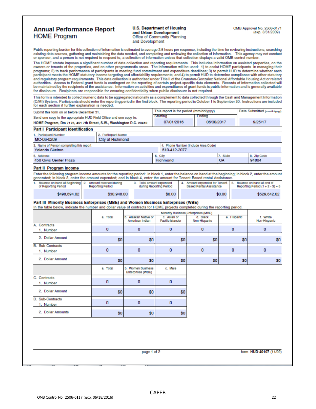#### **Annual Performance Report HOME Program**

**U.S. Department of Housing** and Urban Development Office of Community Planning and Development

Public reporting burden for this collection of information is estimated to average 2.5 hours per response, including the time for reviewing instructions, searching<br>existing data sources, gathering and maintaining the data

The HOME statute imposes a significant number of data collection and reporting requirements. This includes information on assisted properties, on the owners or tenants of the properties, and on other programmatic areas. The information will be used: 1) to assist HOME participants in managing their programs; 2) to track performance of participants in meeting fund commitment and expenditure deadlines; 3) to permit HUD to determine whether each participant meets the HOME statutory income targeting and affordability requirements; and 4) to permit HUD to determine compliance with other statutory and regulatory program requirements. This data collection is authorized under Title II of the Cranston-Gonzalez National Affordable Housing Act or related authorities. Access to Federal grant funds is contingent on the reporting of certain project-specific data elements. Records of information collected will<br>be maintained by the recipients of the assistance. Information on a for disclosure. Recipients are responsible for ensuring confidentiality when public disclosure is not required.

This form is intended to collect numeric data to be aggregated nationally as a complement to data collected through the Cash and Management Information (C/MI) System. Participants should enter the reporting period in the first block. The reporting period is October 1 to September 30. Instructions are included

| for each section if further explanation is needed.                                                                                                        |                                                           |                                        |                                                     |                                                                  |                                                 |                                                                    |     |                        |
|-----------------------------------------------------------------------------------------------------------------------------------------------------------|-----------------------------------------------------------|----------------------------------------|-----------------------------------------------------|------------------------------------------------------------------|-------------------------------------------------|--------------------------------------------------------------------|-----|------------------------|
| Submit this form on or before December 31.                                                                                                                | This report is for period (mm/dd/yyyy)<br><b>Starting</b> |                                        |                                                     |                                                                  |                                                 | Date Submitted (mm/dd/ww)                                          |     |                        |
| Send one copy to the appropriate HUD Field Office and one copy to:                                                                                        |                                                           |                                        |                                                     | Ending                                                           |                                                 |                                                                    |     |                        |
| HOME Program, Rm 7176, 451 7th Street, S.W., Washington D.C. 20410                                                                                        |                                                           |                                        | 07/01/2016                                          |                                                                  | 06/30/2017                                      |                                                                    |     | 9/25/17                |
| <b>Part I Participant Identification</b>                                                                                                                  |                                                           |                                        |                                                     |                                                                  |                                                 |                                                                    |     |                        |
| 1. Participant Number                                                                                                                                     | 2. Participant Name                                       |                                        |                                                     |                                                                  |                                                 |                                                                    |     |                        |
| MC-06-0209                                                                                                                                                | <b>City of Richmond</b>                                   |                                        |                                                     |                                                                  |                                                 |                                                                    |     |                        |
| 3. Name of Person completing this report<br><b>Yolanda Skelton</b>                                                                                        |                                                           |                                        | 510-412-2077                                        |                                                                  | 4. Phone Number (Include Area Code)             |                                                                    |     |                        |
| 5. Address                                                                                                                                                |                                                           |                                        | 6. City                                             |                                                                  |                                                 | 7. State                                                           |     | 8. Zip Code            |
| <b>450 Civic Center Plaza</b>                                                                                                                             |                                                           | Richmond                               |                                                     |                                                                  | СA<br>94804                                     |                                                                    |     |                        |
| Part II Program Income                                                                                                                                    |                                                           |                                        |                                                     |                                                                  |                                                 |                                                                    |     |                        |
| Enter the following program income amounts for the reporting period: in block 1, enter the balance on hand at the beginning; in block 2, enter the amount |                                                           |                                        |                                                     |                                                                  |                                                 |                                                                    |     |                        |
| generated; in block 3, enter the amount expended; and in block 4, enter the amount for Tenant-Based rental Assistance.                                    |                                                           |                                        |                                                     |                                                                  |                                                 |                                                                    |     |                        |
| 1. Balance on hand at Beginning 2. Amount received during<br>of Reporting Period                                                                          | Reporting Period                                          |                                        | 3. Total amount expended<br>during Reporting Period | 4. Amount expended for Tenant-<br><b>Based Rental Assistance</b> |                                                 | 5. Balance on hand at end of<br>Reporting Period $(1 + 2 - 3) = 5$ |     |                        |
| \$498,694.02                                                                                                                                              | \$30,948.00                                               |                                        | \$0.00                                              |                                                                  |                                                 | \$0.00                                                             |     | \$529,642.02           |
| Part III Minority Business Enterprises (MBE) and Women Business Enterprises (WBE)                                                                         |                                                           |                                        |                                                     |                                                                  |                                                 |                                                                    |     |                        |
| In the table below, indicate the number and dollar value of contracts for HOME projects completed during the reporting period.                            |                                                           |                                        |                                                     |                                                                  |                                                 |                                                                    |     |                        |
|                                                                                                                                                           | a. Total                                                  | b. Alaskan Native or                   | c. Aslan or                                         |                                                                  | Minority Business Enterprises (MBE)<br>d. Black | e. Hispanic                                                        |     | f. White               |
|                                                                                                                                                           |                                                           | American Indian                        | Pacific Islander                                    |                                                                  | Non-Hispanic                                    |                                                                    |     | Non-Hispanic           |
| A. Contracts                                                                                                                                              | $\Omega$                                                  | $\Omega$                               |                                                     |                                                                  |                                                 |                                                                    |     |                        |
| 1. Number                                                                                                                                                 |                                                           |                                        | $\Omega$                                            |                                                                  | o                                               |                                                                    | 0   | 0                      |
| 2. Dollar Amount                                                                                                                                          | \$0                                                       | \$0                                    |                                                     | \$0                                                              | \$0                                             |                                                                    | \$0 | \$0                    |
| <b>B.</b> Sub-Contracts                                                                                                                                   |                                                           |                                        |                                                     |                                                                  |                                                 |                                                                    |     |                        |
| 1. Number                                                                                                                                                 | 0                                                         | 0                                      | 0                                                   |                                                                  | 0                                               |                                                                    | 0   | 0                      |
| 2. Dollar Amount                                                                                                                                          | \$0                                                       | \$0                                    |                                                     | \$0                                                              | \$0                                             |                                                                    | \$0 | \$0                    |
|                                                                                                                                                           | a. Total                                                  | b. Women Business<br>Enterprises (WBE) | c. Male                                             |                                                                  |                                                 |                                                                    |     |                        |
| C. Contracts                                                                                                                                              |                                                           |                                        |                                                     |                                                                  |                                                 |                                                                    |     |                        |
| 1. Number                                                                                                                                                 | 0                                                         | 0                                      | 0                                                   |                                                                  |                                                 |                                                                    |     |                        |
| 2. Dollar Amount                                                                                                                                          | \$0                                                       | \$0                                    |                                                     | \$0                                                              |                                                 |                                                                    |     |                        |
| D. Sub-Contracts                                                                                                                                          |                                                           |                                        |                                                     |                                                                  |                                                 |                                                                    |     |                        |
| 1. Number                                                                                                                                                 | $\Omega$                                                  | o                                      | $\mathbf{0}$                                        |                                                                  |                                                 |                                                                    |     |                        |
| 2. Dollar Amounts                                                                                                                                         | \$0                                                       | \$0                                    |                                                     | \$0                                                              |                                                 |                                                                    |     |                        |
|                                                                                                                                                           |                                                           |                                        |                                                     |                                                                  |                                                 |                                                                    |     |                        |
|                                                                                                                                                           |                                                           |                                        |                                                     |                                                                  |                                                 |                                                                    |     |                        |
|                                                                                                                                                           |                                                           |                                        |                                                     |                                                                  |                                                 |                                                                    |     |                        |
|                                                                                                                                                           |                                                           | page 1 of 2                            |                                                     |                                                                  |                                                 |                                                                    |     | form HUD-40107 (11/92) |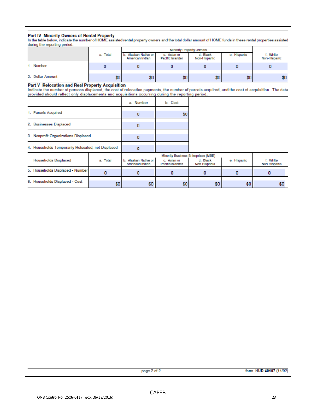Part IV Minority Owners of Rental Property<br>In the table below, indicate the number of HOME assisted rental property owners and the total dollar amount of HOME funds in these rental properties assisted during the reporting period.

|                  | a. Total | b. Alaskan Native or<br>American Indian | c. Aslan or<br>Pacific Islander | d. Black<br>Non-Hispanic | e. Hispanic | t. White<br>Non-Hispanic |
|------------------|----------|-----------------------------------------|---------------------------------|--------------------------|-------------|--------------------------|
| 1. Number        |          |                                         |                                 |                          |             |                          |
| 2. Dollar Amount | \$0.     | \$0                                     | \$0                             | \$0                      | \$0.        | \$0                      |

#### Part V Relocation and Real Property Acquisition

Indicate the number of persons displaced, the cost of relocation payments, the number of parcels acquired, and the cost of acquisition. The data provided should reflect only displacements and acquisitions occurring during the reporting period.

|                                                    |          | a. Number                               | b. Cost                         |                          |             |                          |
|----------------------------------------------------|----------|-----------------------------------------|---------------------------------|--------------------------|-------------|--------------------------|
| 1. Parcels Acquired                                |          | $\circ$                                 | \$0                             |                          |             |                          |
| 2. Businesses Displaced                            |          | 0                                       |                                 |                          |             |                          |
| 3. Nonprofit Organizations Displaced               |          | $\Omega$                                |                                 |                          |             |                          |
| 4. Households Temporarily Relocated, not Displaced |          | 0                                       |                                 |                          |             |                          |
|                                                    |          | Minority Business Enterprises (MBE)     |                                 |                          |             |                          |
| <b>Households Displaced</b>                        | a. Total | b. Alaskan Native or<br>American Indian | c. Aslan or<br>Pacific Islander | d. Black<br>Non-Hispanic | e. Hispanic | f. White<br>Non-Hispanic |
| 5. Households Displaced - Number                   | 0        | 0                                       | 0                               | 0                        | o           | 0                        |
| 6. Households Displaced - Cost                     | \$0      | \$0                                     | \$0                             | \$0                      | \$0         | \$0                      |

page 2 of 2